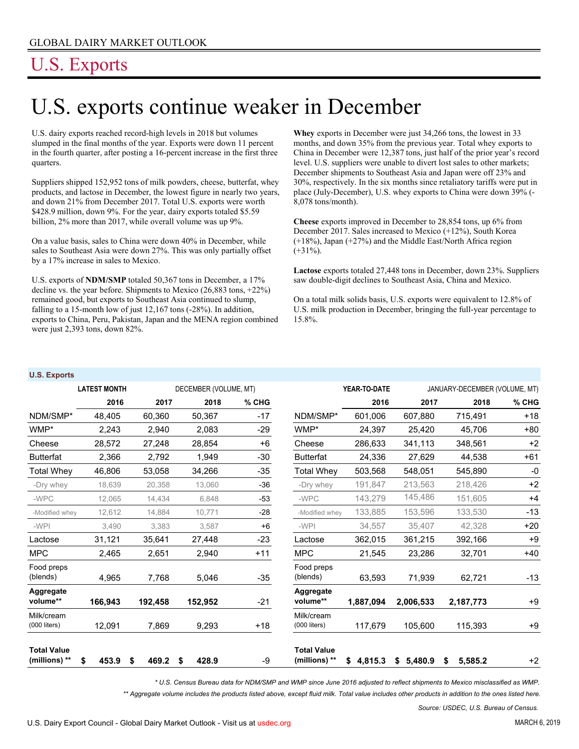## U.S. Exports

# U.S. exports continue weaker in December

U.S. dairy exports reached record-high levels in 2018 but volumes slumped in the final months of the year. Exports were down 11 percent in the fourth quarter, after posting a 16-percent increase in the first three quarters.

Suppliers shipped 152,952 tons of milk powders, cheese, butterfat, whey products, and lactose in December, the lowest figure in nearly two years, and down 21% from December 2017. Total U.S. exports were worth \$428.9 million, down 9%. For the year, dairy exports totaled \$5.59 billion, 2% more than 2017, while overall volume was up 9%.

On a value basis, sales to China were down 40% in December, while sales to Southeast Asia were down 27%. This was only partially offset by a 17% increase in sales to Mexico.

U.S. exports of **NDM/SMP** totaled 50,367 tons in December, a 17% decline vs. the year before. Shipments to Mexico (26,883 tons, +22%) remained good, but exports to Southeast Asia continued to slump, falling to a 15-month low of just 12,167 tons (-28%). In addition, exports to China, Peru, Pakistan, Japan and the MENA region combined were just 2,393 tons, down 82%.

**Whey** exports in December were just 34,266 tons, the lowest in 33 months, and down 35% from the previous year. Total whey exports to China in December were 12,387 tons, just half of the prior year's record level. U.S. suppliers were unable to divert lost sales to other markets; December shipments to Southeast Asia and Japan were off 23% and 30%, respectively. In the six months since retaliatory tariffs were put in place (July-December), U.S. whey exports to China were down 39% (- 8,078 tons/month).

**Cheese** exports improved in December to 28,854 tons, up 6% from December 2017. Sales increased to Mexico (+12%), South Korea (+18%), Japan (+27%) and the Middle East/North Africa region  $(+31\%)$ .

**Lactose** exports totaled 27,448 tons in December, down 23%. Suppliers saw double-digit declines to Southeast Asia, China and Mexico.

On a total milk solids basis, U.S. exports were equivalent to 12.8% of U.S. milk production in December, bringing the full-year percentage to 15.8%.

#### **U.S. Exports**

|                                     | <b>LATEST MONTH</b> |            | DECEMBER (VOLUME, MT) |         |                                     | YEAR-TO-DATE  | JANUARY-DECEMBER (VOLUME, MT) |               |       |
|-------------------------------------|---------------------|------------|-----------------------|---------|-------------------------------------|---------------|-------------------------------|---------------|-------|
|                                     | 2016                | 2017       | 2018                  | $%$ CHG |                                     | 2016          | 2017                          | 2018          | % CHG |
| NDM/SMP*                            | 48,405              | 60,360     | 50,367                | $-17$   | NDM/SMP*                            | 601,006       | 607,880                       | 715,491       | $+18$ |
| WMP*                                | 2,243               | 2,940      | 2,083                 | $-29$   | WMP*                                | 24,397        | 25,420                        | 45,706        | $+80$ |
| Cheese                              | 28,572              | 27,248     | 28,854                | $+6$    | Cheese                              | 286,633       | 341,113                       | 348,561       | $+2$  |
| <b>Butterfat</b>                    | 2,366               | 2,792      | 1,949                 | $-30$   | <b>Butterfat</b>                    | 24,336        | 27,629                        | 44,538        | $+61$ |
| <b>Total Whey</b>                   | 46,806              | 53,058     | 34,266                | -35     | <b>Total Whey</b>                   | 503,568       | 548,051                       | 545,890       | -0    |
| -Drv whev                           | 18,639              | 20,358     | 13,060                | $-36$   | -Dry whey                           | 191.847       | 213.563                       | 218,426       | $+2$  |
| -WPC                                | 12.065              | 14.434     | 6.848                 | $-53$   | -WPC                                | 143,279       | 145,486                       | 151.605       | $+4$  |
| -Modified whey                      | 12,612              | 14,884     | 10,771                | $-28$   | -Modified whey                      | 133.885       | 153,596                       | 133,530       | $-13$ |
| -WPI                                | 3,490               | 3,383      | 3,587                 | $+6$    | -WPI                                | 34,557        | 35,407                        | 42,328        | $+20$ |
| Lactose                             | 31,121              | 35,641     | 27,448                | $-23$   | Lactose                             | 362,015       | 361,215                       | 392,166       | $+9$  |
| <b>MPC</b>                          | 2,465               | 2,651      | 2,940                 | $+11$   | <b>MPC</b>                          | 21,545        | 23,286                        | 32,701        | $+40$ |
| Food preps<br>(blends)              | 4,965               | 7,768      | 5,046                 | $-35$   | Food preps<br>(blends)              | 63,593        | 71,939                        | 62,721        | $-13$ |
| Aggregate<br>volume**               | 166,943             | 192,458    | 152,952               | $-21$   | Aggregate<br>volume**               | 1,887,094     | 2,006,533                     | 2,187,773     | $+9$  |
| Milk/cream<br>$(000$ liters)        | 12,091              | 7,869      | 9,293                 | $+18$   | Milk/cream<br>$(000$ liters)        | 117,679       | 105,600                       | 115,393       | $+9$  |
| <b>Total Value</b><br>(millions) ** | \$<br>453.9         | 469.2<br>S | 428.9<br>S            | -9      | <b>Total Value</b><br>(millions) ** | \$<br>4,815.3 | 5,480.9<br>\$                 | 5.585.2<br>\$ | $+2$  |

*\* U.S. Census Bureau data for NDM/SMP and WMP since June 2016 adjusted to reflect shipments to Mexico misclassified as WMP.*

*\*\* Aggregate volume includes the products listed above, except fluid milk. Total value includes other products in addition to the ones listed here.*

*Source: USDEC, U.S. Bureau of Census.*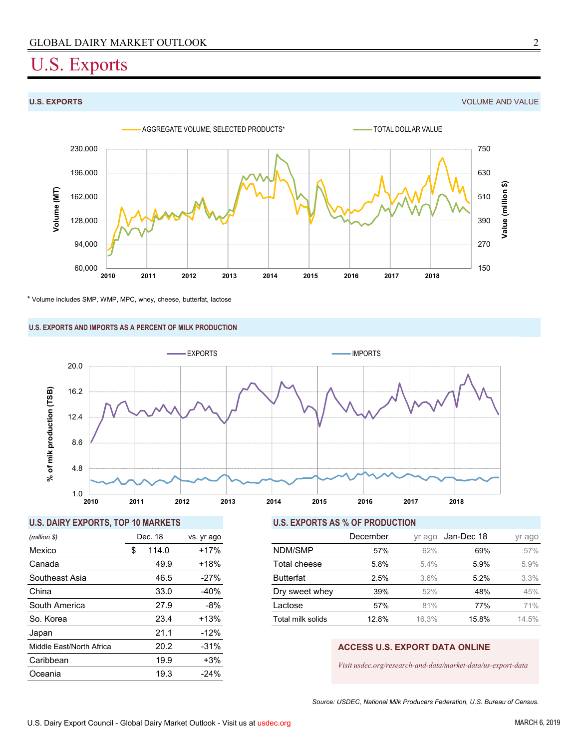## U.S. Exports

**U.S. EXPORTS** VOLUME AND VALUE



\* Volume includes SMP, WMP, MPC, whey, cheese, butterfat, lactose

### **U.S. EXPORTS AND IMPORTS AS A PERCENT OF MILK PRODUCTION**



### **U.S. DAIRY EXPORTS, TOP 10 MARKETS U.S. EXPORTS AS % OF PRODUCTION**

| (million \$)             |    | Dec. 18 | vs. yr ago |  |  |
|--------------------------|----|---------|------------|--|--|
| Mexico                   | \$ | 114.0   | $+17%$     |  |  |
| Canada                   |    | 49.9    | $+18%$     |  |  |
| Southeast Asia           |    | 46.5    | $-27%$     |  |  |
| China                    |    | 33.0    | -40%       |  |  |
| South America            |    | 27.9    | -8%        |  |  |
| So. Korea                |    | 23.4    | $+13%$     |  |  |
| Japan                    |    | 21.1    | $-12%$     |  |  |
| Middle East/North Africa |    | 20.2    | $-31%$     |  |  |
| Caribbean                |    | 19.9    | $+3%$      |  |  |
| Oceania                  |    | 19.3    | $-24%$     |  |  |

| (million \$)   | Dec. 18 | vs. yr ago | December          |       | vr ago  | Jan-Dec 18 | yr ago |
|----------------|---------|------------|-------------------|-------|---------|------------|--------|
| Mexico         | 114.0   | +17%       | NDM/SMP           | 57%   | 62%     | 69%        | 57%    |
| Canada         | 49.9    | $+18%$     | Total cheese      | 5.8%  | $5.4\%$ | 5.9%       | 5.9%   |
| Southeast Asia | 46.5    | $-27%$     | <b>Butterfat</b>  | 2.5%  | 3.6%    | 5.2%       | 3.3%   |
| China          | 33.0    | $-40%$     | Dry sweet whey    | 39%   | 52%     | 48%        | 45%    |
| South America  | 27.9    | -8%        | Lactose           | 57%   | 81%     | 77%        | 71%    |
| So. Korea      | 23.4    | $+13%$     | Total milk solids | 12.8% | 16.3%   | 15.8%      | 14.5%  |
|                |         |            |                   |       |         |            |        |

### **ACCESS U.S. EXPORT DATA ONLINE**

*Visit usdec.org/research-and-data/market-data/us-export-data*

*Source: USDEC, National Milk Producers Federation, U.S. Bureau of Census.*